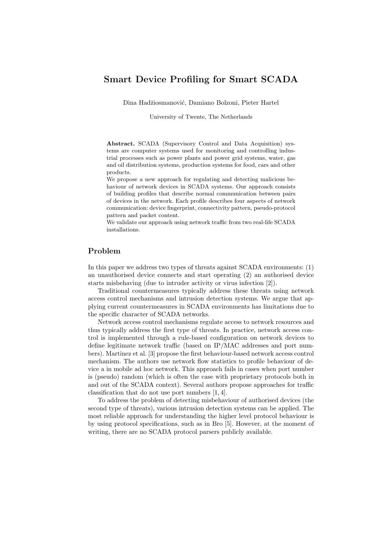## Smart Device Profiling for Smart SCADA

Dina Hadžiosmanović, Damiano Bolzoni, Pieter Hartel

University of Twente, The Netherlands

Abstract. SCADA (Supervisory Control and Data Acquisition) systems are computer systems used for monitoring and controlling industrial processes such as power plants and power grid systems, water, gas and oil distribution systems, production systems for food, cars and other products.

We propose a new approach for regulating and detecting malicious behaviour of network devices in SCADA systems. Our approach consists of building profiles that describe normal communication between pairs of devices in the network. Each profile describes four aspects of network communication: device fingerprint, connectivity pattern, pseudo-protocol pattern and packet content.

We validate our approach using network traffic from two real-life SCADA installations.

## Problem

In this paper we address two types of threats against SCADA environments: (1) an unauthorised device connects and start operating (2) an authorised device starts misbehaving (due to intruder activity or virus infection [2]).

Traditional countermeasures typically address these threats using network access control mechanisms and intrusion detection systems. We argue that applying current countermeasures in SCADA environments has limitations due to the specific character of SCADA networks.

Network access control mechanisms regulate access to network resources and thus typically address the first type of threats. In practice, network access control is implemented through a rule-based configuration on network devices to define legitimate network traffic (based on IP/MAC addresses and port numbers). Martinez et al. [3] propose the first behaviour-based network access control mechanism. The authors use network flow statistics to profile behaviour of device a in mobile ad hoc network. This approach fails in cases when port number is (pseudo) random (which is often the case with proprietary protocols both in and out of the SCADA context). Several authors propose approaches for traffic classification that do not use port numbers [1, 4].

To address the problem of detecting misbehaviour of authorised devices (the second type of threats), various intrusion detection systems can be applied. The most reliable approach for understanding the higher level protocol behaviour is by using protocol specifications, such as in Bro [5]. However, at the moment of writing, there are no SCADA protocol parsers publicly available.